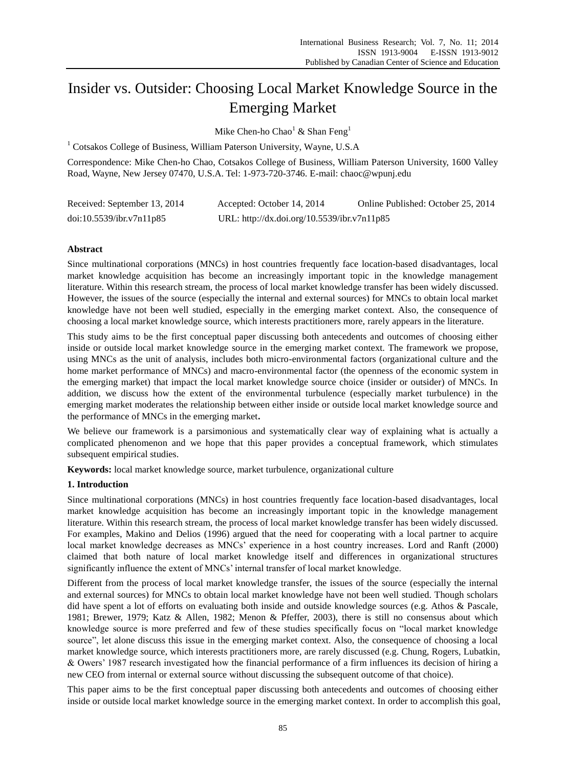# Insider vs. Outsider: Choosing Local Market Knowledge Source in the Emerging Market

Mike Chen-ho Chao<sup>1</sup> & Shan Feng<sup>1</sup>

<sup>1</sup> Cotsakos College of Business, William Paterson University, Wayne, U.S.A

Correspondence: Mike Chen-ho Chao, Cotsakos College of Business, William Paterson University, 1600 Valley Road, Wayne, New Jersey 07470, U.S.A. Tel: 1-973-720-3746. E-mail: chaoc@wpunj.edu

| Received: September 13, 2014 | Accepted: October 14, 2014                  | Online Published: October 25, 2014 |
|------------------------------|---------------------------------------------|------------------------------------|
| doi:10.5539/ibr.v7n11p85     | URL: http://dx.doi.org/10.5539/ibr.v7n11p85 |                                    |

## **Abstract**

Since multinational corporations (MNCs) in host countries frequently face location-based disadvantages, local market knowledge acquisition has become an increasingly important topic in the knowledge management literature. Within this research stream, the process of local market knowledge transfer has been widely discussed. However, the issues of the source (especially the internal and external sources) for MNCs to obtain local market knowledge have not been well studied, especially in the emerging market context. Also, the consequence of choosing a local market knowledge source, which interests practitioners more, rarely appears in the literature.

This study aims to be the first conceptual paper discussing both antecedents and outcomes of choosing either inside or outside local market knowledge source in the emerging market context. The framework we propose, using MNCs as the unit of analysis, includes both micro-environmental factors (organizational culture and the home market performance of MNCs) and macro-environmental factor (the openness of the economic system in the emerging market) that impact the local market knowledge source choice (insider or outsider) of MNCs. In addition, we discuss how the extent of the environmental turbulence (especially market turbulence) in the emerging market moderates the relationship between either inside or outside local market knowledge source and the performance of MNCs in the emerging market**.**

We believe our framework is a parsimonious and systematically clear way of explaining what is actually a complicated phenomenon and we hope that this paper provides a conceptual framework, which stimulates subsequent empirical studies.

**Keywords:** local market knowledge source, market turbulence, organizational culture

#### **1. Introduction**

Since multinational corporations (MNCs) in host countries frequently face location-based disadvantages, local market knowledge acquisition has become an increasingly important topic in the knowledge management literature. Within this research stream, the process of local market knowledge transfer has been widely discussed. For examples, Makino and Delios (1996) argued that the need for cooperating with a local partner to acquire local market knowledge decreases as MNCs' experience in a host country increases. Lord and Ranft (2000) claimed that both nature of local market knowledge itself and differences in organizational structures significantly influence the extent of MNCs' internal transfer of local market knowledge.

Different from the process of local market knowledge transfer, the issues of the source (especially the internal and external sources) for MNCs to obtain local market knowledge have not been well studied. Though scholars did have spent a lot of efforts on evaluating both inside and outside knowledge sources (e.g. Athos & Pascale, 1981; Brewer, 1979; Katz & Allen, 1982; Menon & Pfeffer, 2003), there is still no consensus about which knowledge source is more preferred and few of these studies specifically focus on "local market knowledge source", let alone discuss this issue in the emerging market context. Also, the consequence of choosing a local market knowledge source, which interests practitioners more, are rarely discussed (e.g. Chung, Rogers, Lubatkin, & Owers' 1987 research investigated how the financial performance of a firm influences its decision of hiring a new CEO from internal or external source without discussing the subsequent outcome of that choice).

This paper aims to be the first conceptual paper discussing both antecedents and outcomes of choosing either inside or outside local market knowledge source in the emerging market context. In order to accomplish this goal,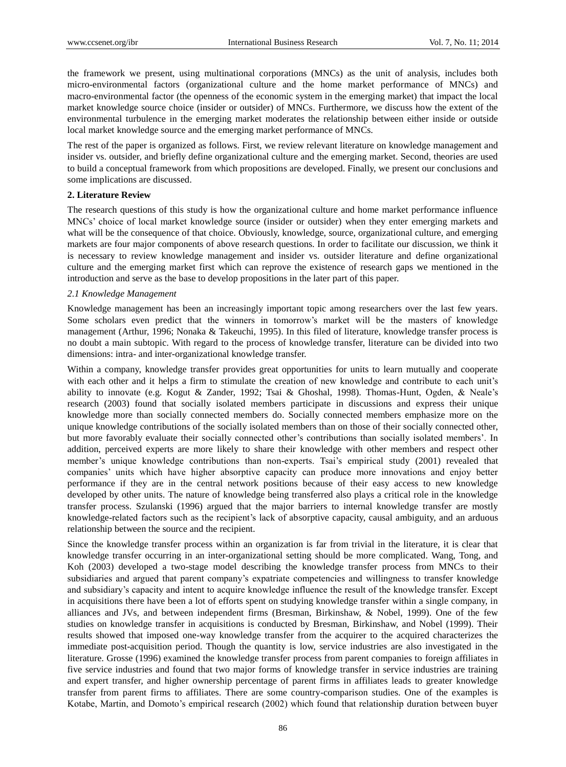the framework we present, using multinational corporations (MNCs) as the unit of analysis, includes both micro-environmental factors (organizational culture and the home market performance of MNCs) and macro-environmental factor (the openness of the economic system in the emerging market) that impact the local market knowledge source choice (insider or outsider) of MNCs. Furthermore, we discuss how the extent of the environmental turbulence in the emerging market moderates the relationship between either inside or outside local market knowledge source and the emerging market performance of MNCs.

The rest of the paper is organized as follows. First, we review relevant literature on knowledge management and insider vs. outsider, and briefly define organizational culture and the emerging market. Second, theories are used to build a conceptual framework from which propositions are developed. Finally, we present our conclusions and some implications are discussed.

#### **2. Literature Review**

The research questions of this study is how the organizational culture and home market performance influence MNCs' choice of local market knowledge source (insider or outsider) when they enter emerging markets and what will be the consequence of that choice. Obviously, knowledge, source, organizational culture, and emerging markets are four major components of above research questions. In order to facilitate our discussion, we think it is necessary to review knowledge management and insider vs. outsider literature and define organizational culture and the emerging market first which can reprove the existence of research gaps we mentioned in the introduction and serve as the base to develop propositions in the later part of this paper.

#### *2.1 Knowledge Management*

Knowledge management has been an increasingly important topic among researchers over the last few years. Some scholars even predict that the winners in tomorrow's market will be the masters of knowledge management (Arthur, 1996; Nonaka & Takeuchi, 1995). In this filed of literature, knowledge transfer process is no doubt a main subtopic. With regard to the process of knowledge transfer, literature can be divided into two dimensions: intra- and inter-organizational knowledge transfer.

Within a company, knowledge transfer provides great opportunities for units to learn mutually and cooperate with each other and it helps a firm to stimulate the creation of new knowledge and contribute to each unit's ability to innovate (e.g. Kogut & Zander, 1992; Tsai & Ghoshal, 1998). Thomas-Hunt, Ogden, & Neale's research (2003) found that socially isolated members participate in discussions and express their unique knowledge more than socially connected members do. Socially connected members emphasize more on the unique knowledge contributions of the socially isolated members than on those of their socially connected other, but more favorably evaluate their socially connected other's contributions than socially isolated members'. In addition, perceived experts are more likely to share their knowledge with other members and respect other member's unique knowledge contributions than non-experts. Tsai's empirical study (2001) revealed that companies' units which have higher absorptive capacity can produce more innovations and enjoy better performance if they are in the central network positions because of their easy access to new knowledge developed by other units. The nature of knowledge being transferred also plays a critical role in the knowledge transfer process. Szulanski (1996) argued that the major barriers to internal knowledge transfer are mostly knowledge-related factors such as the recipient's lack of absorptive capacity, causal ambiguity, and an arduous relationship between the source and the recipient.

Since the knowledge transfer process within an organization is far from trivial in the literature, it is clear that knowledge transfer occurring in an inter-organizational setting should be more complicated. Wang, Tong, and Koh (2003) developed a two-stage model describing the knowledge transfer process from MNCs to their subsidiaries and argued that parent company's expatriate competencies and willingness to transfer knowledge and subsidiary's capacity and intent to acquire knowledge influence the result of the knowledge transfer. Except in acquisitions there have been a lot of efforts spent on studying knowledge transfer within a single company, in alliances and JVs, and between independent firms (Bresman, Birkinshaw, & Nobel, 1999). One of the few studies on knowledge transfer in acquisitions is conducted by Bresman, Birkinshaw, and Nobel (1999). Their results showed that imposed one-way knowledge transfer from the acquirer to the acquired characterizes the immediate post-acquisition period. Though the quantity is low, service industries are also investigated in the literature. Grosse (1996) examined the knowledge transfer process from parent companies to foreign affiliates in five service industries and found that two major forms of knowledge transfer in service industries are training and expert transfer, and higher ownership percentage of parent firms in affiliates leads to greater knowledge transfer from parent firms to affiliates. There are some country-comparison studies. One of the examples is Kotabe, Martin, and Domoto's empirical research (2002) which found that relationship duration between buyer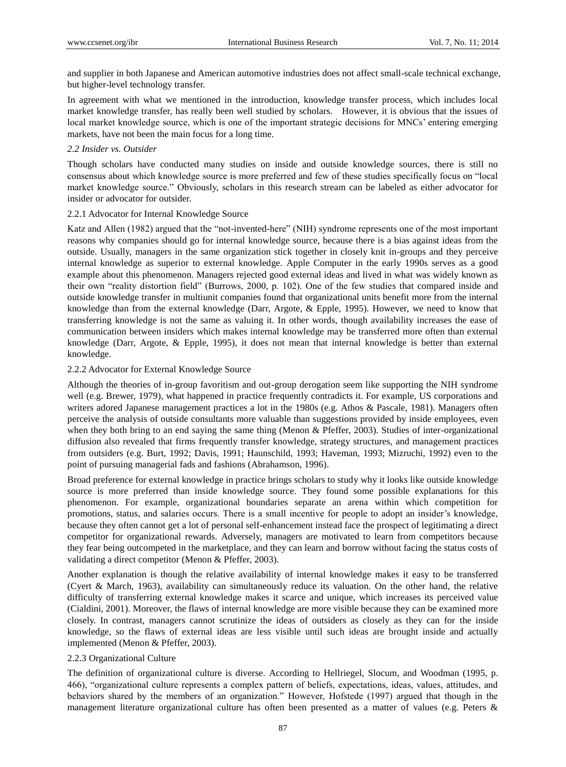and supplier in both Japanese and American automotive industries does not affect small-scale technical exchange, but higher-level technology transfer.

In agreement with what we mentioned in the introduction, knowledge transfer process, which includes local market knowledge transfer, has really been well studied by scholars. However, it is obvious that the issues of local market knowledge source, which is one of the important strategic decisions for MNCs' entering emerging markets, have not been the main focus for a long time.

#### *2.2 Insider vs. Outsider*

Though scholars have conducted many studies on inside and outside knowledge sources, there is still no consensus about which knowledge source is more preferred and few of these studies specifically focus on "local market knowledge source." Obviously, scholars in this research stream can be labeled as either advocator for insider or advocator for outsider.

#### 2.2.1 Advocator for Internal Knowledge Source

Katz and Allen (1982) argued that the "not-invented-here" (NIH) syndrome represents one of the most important reasons why companies should go for internal knowledge source, because there is a bias against ideas from the outside. Usually, managers in the same organization stick together in closely knit in-groups and they perceive internal knowledge as superior to external knowledge. Apple Computer in the early 1990s serves as a good example about this phenomenon. Managers rejected good external ideas and lived in what was widely known as their own "reality distortion field" (Burrows, 2000, p. 102). One of the few studies that compared inside and outside knowledge transfer in multiunit companies found that organizational units benefit more from the internal knowledge than from the external knowledge (Darr, Argote, & Epple, 1995). However, we need to know that transferring knowledge is not the same as valuing it. In other words, though availability increases the ease of communication between insiders which makes internal knowledge may be transferred more often than external knowledge (Darr, Argote, & Epple, 1995), it does not mean that internal knowledge is better than external knowledge.

#### 2.2.2 Advocator for External Knowledge Source

Although the theories of in-group favoritism and out-group derogation seem like supporting the NIH syndrome well (e.g. Brewer, 1979), what happened in practice frequently contradicts it. For example, US corporations and writers adored Japanese management practices a lot in the 1980s (e.g. Athos & Pascale, 1981). Managers often perceive the analysis of outside consultants more valuable than suggestions provided by inside employees, even when they both bring to an end saying the same thing (Menon & Pfeffer, 2003). Studies of inter-organizational diffusion also revealed that firms frequently transfer knowledge, strategy structures, and management practices from outsiders (e.g. Burt, 1992; Davis, 1991; Haunschild, 1993; Haveman, 1993; Mizruchi, 1992) even to the point of pursuing managerial fads and fashions (Abrahamson, 1996).

Broad preference for external knowledge in practice brings scholars to study why it looks like outside knowledge source is more preferred than inside knowledge source. They found some possible explanations for this phenomenon. For example, organizational boundaries separate an arena within which competition for promotions, status, and salaries occurs. There is a small incentive for people to adopt an insider's knowledge, because they often cannot get a lot of personal self-enhancement instead face the prospect of legitimating a direct competitor for organizational rewards. Adversely, managers are motivated to learn from competitors because they fear being outcompeted in the marketplace, and they can learn and borrow without facing the status costs of validating a direct competitor (Menon & Pfeffer, 2003).

Another explanation is though the relative availability of internal knowledge makes it easy to be transferred (Cyert & March, 1963), availability can simultaneously reduce its valuation. On the other hand, the relative difficulty of transferring external knowledge makes it scarce and unique, which increases its perceived value (Cialdini, 2001). Moreover, the flaws of internal knowledge are more visible because they can be examined more closely. In contrast, managers cannot scrutinize the ideas of outsiders as closely as they can for the inside knowledge, so the flaws of external ideas are less visible until such ideas are brought inside and actually implemented (Menon & Pfeffer, 2003).

# 2.2.3 Organizational Culture

The definition of organizational culture is diverse. According to Hellriegel, Slocum, and Woodman (1995, p. 466), "organizational culture represents a complex pattern of beliefs, expectations, ideas, values, attitudes, and behaviors shared by the members of an organization." However, Hofstede (1997) argued that though in the management literature organizational culture has often been presented as a matter of values (e.g. Peters &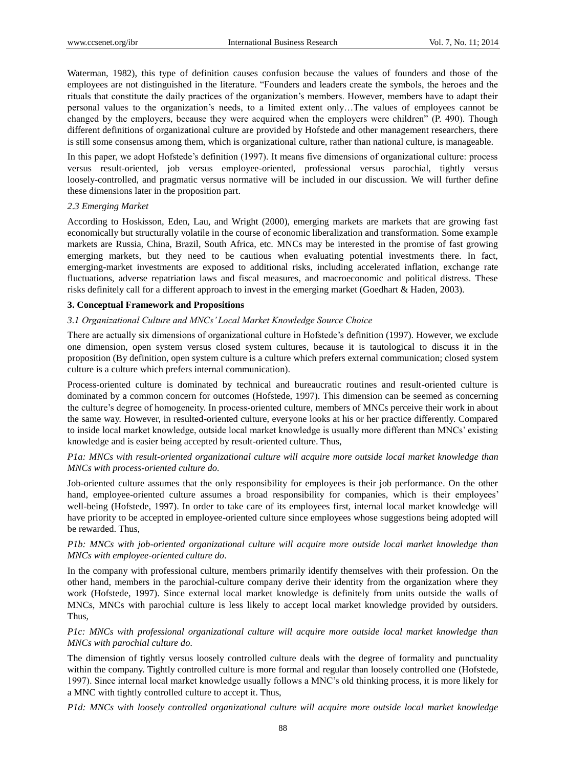Waterman, 1982), this type of definition causes confusion because the values of founders and those of the employees are not distinguished in the literature. "Founders and leaders create the symbols, the heroes and the rituals that constitute the daily practices of the organization's members. However, members have to adapt their personal values to the organization's needs, to a limited extent only…The values of employees cannot be changed by the employers, because they were acquired when the employers were children" (P. 490). Though different definitions of organizational culture are provided by Hofstede and other management researchers, there is still some consensus among them, which is organizational culture, rather than national culture, is manageable.

In this paper, we adopt Hofstede's definition (1997). It means five dimensions of organizational culture: process versus result-oriented, job versus employee-oriented, professional versus parochial, tightly versus loosely-controlled, and pragmatic versus normative will be included in our discussion. We will further define these dimensions later in the proposition part.

#### *2.3 Emerging Market*

According to Hoskisson, Eden, Lau, and Wright (2000), emerging markets are markets that are growing fast economically but structurally volatile in the course of economic liberalization and transformation. Some example markets are Russia, China, Brazil, South Africa, etc. MNCs may be interested in the promise of fast growing emerging markets, but they need to be cautious when evaluating potential investments there. In fact, emerging-market investments are exposed to additional risks, including accelerated inflation, exchange rate fluctuations, adverse repatriation laws and fiscal measures, and macroeconomic and political distress. These risks definitely call for a different approach to invest in the emerging market (Goedhart & Haden, 2003).

## **3. Conceptual Framework and Propositions**

## *3.1 Organizational Culture and MNCs' Local Market Knowledge Source Choice*

There are actually six dimensions of organizational culture in Hofstede's definition (1997). However, we exclude one dimension, open system versus closed system cultures, because it is tautological to discuss it in the proposition (By definition, open system culture is a culture which prefers external communication; closed system culture is a culture which prefers internal communication).

Process-oriented culture is dominated by technical and bureaucratic routines and result-oriented culture is dominated by a common concern for outcomes (Hofstede, 1997). This dimension can be seemed as concerning the culture's degree of homogeneity. In process-oriented culture, members of MNCs perceive their work in about the same way. However, in resulted-oriented culture, everyone looks at his or her practice differently. Compared to inside local market knowledge, outside local market knowledge is usually more different than MNCs' existing knowledge and is easier being accepted by result-oriented culture. Thus,

# *P1a: MNCs with result-oriented organizational culture will acquire more outside local market knowledge than MNCs with process-oriented culture do.*

Job-oriented culture assumes that the only responsibility for employees is their job performance. On the other hand, employee-oriented culture assumes a broad responsibility for companies, which is their employees' well-being (Hofstede, 1997). In order to take care of its employees first, internal local market knowledge will have priority to be accepted in employee-oriented culture since employees whose suggestions being adopted will be rewarded. Thus,

## *P1b: MNCs with job-oriented organizational culture will acquire more outside local market knowledge than MNCs with employee-oriented culture do.*

In the company with professional culture, members primarily identify themselves with their profession. On the other hand, members in the parochial-culture company derive their identity from the organization where they work (Hofstede, 1997). Since external local market knowledge is definitely from units outside the walls of MNCs, MNCs with parochial culture is less likely to accept local market knowledge provided by outsiders. Thus,

# *P1c: MNCs with professional organizational culture will acquire more outside local market knowledge than MNCs with parochial culture do.*

The dimension of tightly versus loosely controlled culture deals with the degree of formality and punctuality within the company. Tightly controlled culture is more formal and regular than loosely controlled one (Hofstede, 1997). Since internal local market knowledge usually follows a MNC's old thinking process, it is more likely for a MNC with tightly controlled culture to accept it. Thus,

*P1d: MNCs with loosely controlled organizational culture will acquire more outside local market knowledge*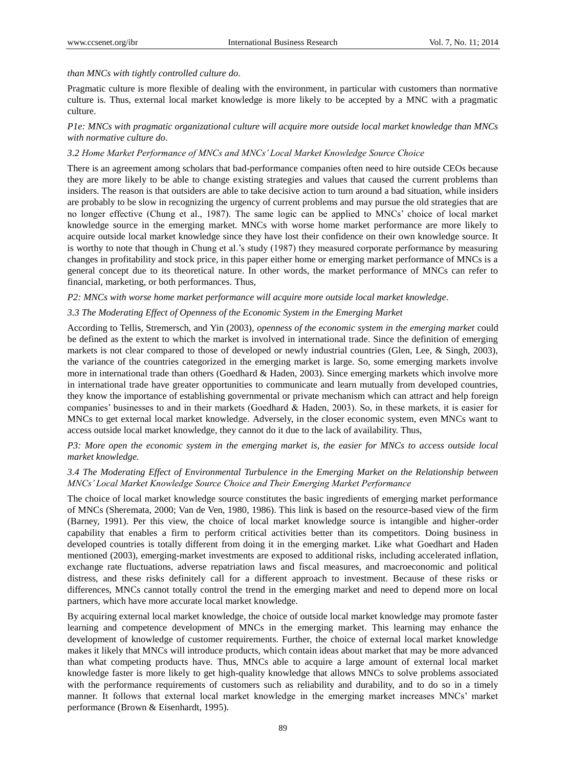## *than MNCs with tightly controlled culture do.*

Pragmatic culture is more flexible of dealing with the environment, in particular with customers than normative culture is. Thus, external local market knowledge is more likely to be accepted by a MNC with a pragmatic culture.

## *P1e: MNCs with pragmatic organizational culture will acquire more outside local market knowledge than MNCs with normative culture do.*

## *3.2 Home Market Performance of MNCs and MNCs' Local Market Knowledge Source Choice*

There is an agreement among scholars that bad-performance companies often need to hire outside CEOs because they are more likely to be able to change existing strategies and values that caused the current problems than insiders. The reason is that outsiders are able to take decisive action to turn around a bad situation, while insiders are probably to be slow in recognizing the urgency of current problems and may pursue the old strategies that are no longer effective (Chung et al., 1987). The same logic can be applied to MNCs' choice of local market knowledge source in the emerging market. MNCs with worse home market performance are more likely to acquire outside local market knowledge since they have lost their confidence on their own knowledge source. It is worthy to note that though in Chung et al.'s study (1987) they measured corporate performance by measuring changes in profitability and stock price, in this paper either home or emerging market performance of MNCs is a general concept due to its theoretical nature. In other words, the market performance of MNCs can refer to financial, marketing, or both performances. Thus,

*P2: MNCs with worse home market performance will acquire more outside local market knowledge.*

## *3.3 The Moderating Effect of Openness of the Economic System in the Emerging Market*

According to Tellis, Stremersch, and Yin (2003), *openness of the economic system in the emerging market* could be defined as the extent to which the market is involved in international trade. Since the definition of emerging markets is not clear compared to those of developed or newly industrial countries (Glen, Lee, & Singh, 2003), the variance of the countries categorized in the emerging market is large. So, some emerging markets involve more in international trade than others (Goedhard & Haden, 2003). Since emerging markets which involve more in international trade have greater opportunities to communicate and learn mutually from developed countries, they know the importance of establishing governmental or private mechanism which can attract and help foreign companies' businesses to and in their markets (Goedhard & Haden, 2003). So, in these markets, it is easier for MNCs to get external local market knowledge. Adversely, in the closer economic system, even MNCs want to access outside local market knowledge, they cannot do it due to the lack of availability. Thus,

## *P3: More open the economic system in the emerging market is, the easier for MNCs to access outside local market knowledge.*

# *3.4 The Moderating Effect of Environmental Turbulence in the Emerging Market on the Relationship between MNCs' Local Market Knowledge Source Choice and Their Emerging Market Performance*

The choice of local market knowledge source constitutes the basic ingredients of emerging market performance of MNCs (Sheremata, 2000; Van de Ven, 1980, 1986). This link is based on the resource-based view of the firm (Barney, 1991). Per this view, the choice of local market knowledge source is intangible and higher-order capability that enables a firm to perform critical activities better than its competitors. Doing business in developed countries is totally different from doing it in the emerging market. Like what Goedhart and Haden mentioned (2003), emerging-market investments are exposed to additional risks, including accelerated inflation, exchange rate fluctuations, adverse repatriation laws and fiscal measures, and macroeconomic and political distress, and these risks definitely call for a different approach to investment. Because of these risks or differences, MNCs cannot totally control the trend in the emerging market and need to depend more on local partners, which have more accurate local market knowledge.

By acquiring external local market knowledge, the choice of outside local market knowledge may promote faster learning and competence development of MNCs in the emerging market. This learning may enhance the development of knowledge of customer requirements. Further, the choice of external local market knowledge makes it likely that MNCs will introduce products, which contain ideas about market that may be more advanced than what competing products have. Thus, MNCs able to acquire a large amount of external local market knowledge faster is more likely to get high-quality knowledge that allows MNCs to solve problems associated with the performance requirements of customers such as reliability and durability, and to do so in a timely manner. It follows that external local market knowledge in the emerging market increases MNCs' market performance (Brown & Eisenhardt, 1995).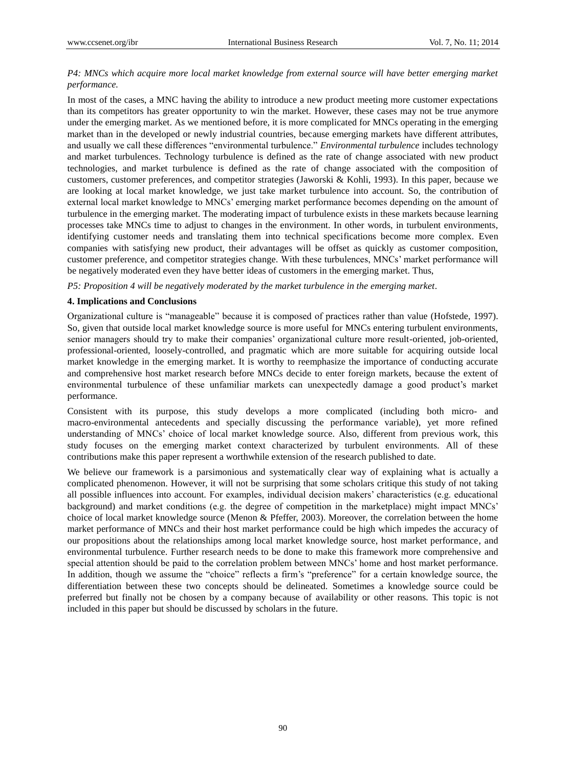## *P4: MNCs which acquire more local market knowledge from external source will have better emerging market performance.*

In most of the cases, a MNC having the ability to introduce a new product meeting more customer expectations than its competitors has greater opportunity to win the market. However, these cases may not be true anymore under the emerging market. As we mentioned before, it is more complicated for MNCs operating in the emerging market than in the developed or newly industrial countries, because emerging markets have different attributes, and usually we call these differences "environmental turbulence." *Environmental turbulence* includes technology and market turbulences. Technology turbulence is defined as the rate of change associated with new product technologies, and market turbulence is defined as the rate of change associated with the composition of customers, customer preferences, and competitor strategies (Jaworski & Kohli, 1993). In this paper, because we are looking at local market knowledge, we just take market turbulence into account. So, the contribution of external local market knowledge to MNCs' emerging market performance becomes depending on the amount of turbulence in the emerging market. The moderating impact of turbulence exists in these markets because learning processes take MNCs time to adjust to changes in the environment. In other words, in turbulent environments, identifying customer needs and translating them into technical specifications become more complex. Even companies with satisfying new product, their advantages will be offset as quickly as customer composition, customer preference, and competitor strategies change. With these turbulences, MNCs' market performance will be negatively moderated even they have better ideas of customers in the emerging market. Thus,

*P5: Proposition 4 will be negatively moderated by the market turbulence in the emerging market.*

#### **4. Implications and Conclusions**

Organizational culture is "manageable" because it is composed of practices rather than value (Hofstede, 1997). So, given that outside local market knowledge source is more useful for MNCs entering turbulent environments, senior managers should try to make their companies' organizational culture more result-oriented, job-oriented, professional-oriented, loosely-controlled, and pragmatic which are more suitable for acquiring outside local market knowledge in the emerging market. It is worthy to reemphasize the importance of conducting accurate and comprehensive host market research before MNCs decide to enter foreign markets, because the extent of environmental turbulence of these unfamiliar markets can unexpectedly damage a good product's market performance.

Consistent with its purpose, this study develops a more complicated (including both micro- and macro-environmental antecedents and specially discussing the performance variable), yet more refined understanding of MNCs' choice of local market knowledge source. Also, different from previous work, this study focuses on the emerging market context characterized by turbulent environments. All of these contributions make this paper represent a worthwhile extension of the research published to date.

We believe our framework is a parsimonious and systematically clear way of explaining what is actually a complicated phenomenon. However, it will not be surprising that some scholars critique this study of not taking all possible influences into account. For examples, individual decision makers' characteristics (e.g. educational background) and market conditions (e.g. the degree of competition in the marketplace) might impact MNCs' choice of local market knowledge source (Menon & Pfeffer, 2003). Moreover, the correlation between the home market performance of MNCs and their host market performance could be high which impedes the accuracy of our propositions about the relationships among local market knowledge source, host market performance, and environmental turbulence. Further research needs to be done to make this framework more comprehensive and special attention should be paid to the correlation problem between MNCs' home and host market performance. In addition, though we assume the "choice" reflects a firm's "preference" for a certain knowledge source, the differentiation between these two concepts should be delineated. Sometimes a knowledge source could be preferred but finally not be chosen by a company because of availability or other reasons. This topic is not included in this paper but should be discussed by scholars in the future.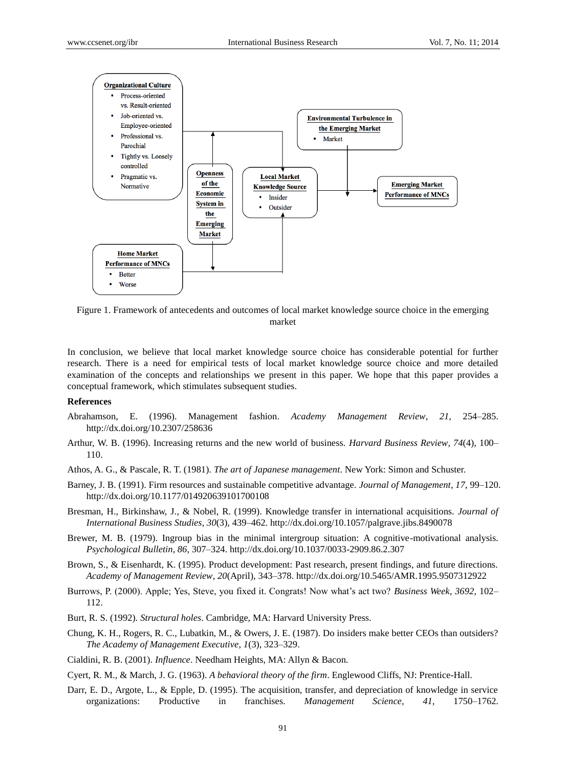

Figure 1. Framework of antecedents and outcomes of local market knowledge source choice in the emerging market

In conclusion, we believe that local market knowledge source choice has considerable potential for further research. There is a need for empirical tests of local market knowledge source choice and more detailed examination of the concepts and relationships we present in this paper. We hope that this paper provides a conceptual framework, which stimulates subsequent studies.

#### **References**

- Abrahamson, E. (1996). Management fashion. *Academy Management Review, 21,* 254–285. http://dx.doi.org/10.2307/258636
- Arthur, W. B. (1996). Increasing returns and the new world of business. *Harvard Business Review, 74*(4), 100– 110.
- Athos, A. G., & Pascale, R. T. (1981). *The art of Japanese management*. New York: Simon and Schuster.
- Barney, J. B. (1991). Firm resources and sustainable competitive advantage. *Journal of Management, 17,* 99–120. http://dx.doi.org/10.1177/014920639101700108
- Bresman, H., Birkinshaw, J., & Nobel, R. (1999). Knowledge transfer in international acquisitions. *Journal of International Business Studies, 30*(3), 439–462. http://dx.doi.org/10.1057/palgrave.jibs.8490078
- Brewer, M. B. (1979). Ingroup bias in the minimal intergroup situation: A cognitive-motivational analysis. *Psychological Bulletin, 86,* 307–324. http://dx.doi.org/10.1037/0033-2909.86.2.307
- Brown, S., & Eisenhardt, K. (1995). Product development: Past research, present findings, and future directions. *Academy of Management Review, 20*(April), 343–378. http://dx.doi.org/10.5465/AMR.1995.9507312922
- Burrows, P. (2000). Apple; Yes, Steve, you fixed it. Congrats! Now what's act two? *Business Week*, *3692,* 102– 112.
- Burt, R. S. (1992). *Structural holes*. Cambridge, MA: Harvard University Press.
- Chung, K. H., Rogers, R. C., Lubatkin, M., & Owers, J. E. (1987). Do insiders make better CEOs than outsiders? *The Academy of Management Executive*, *1*(3), 323–329.
- Cialdini, R. B. (2001). *Influence*. Needham Heights, MA: Allyn & Bacon.
- Cyert, R. M., & March, J. G. (1963). *A behavioral theory of the firm*. Englewood Cliffs, NJ: Prentice-Hall.
- Darr, E. D., Argote, L., & Epple, D. (1995). The acquisition, transfer, and depreciation of knowledge in service organizations: Productive in franchises. *Management Science, 41,* 1750–1762.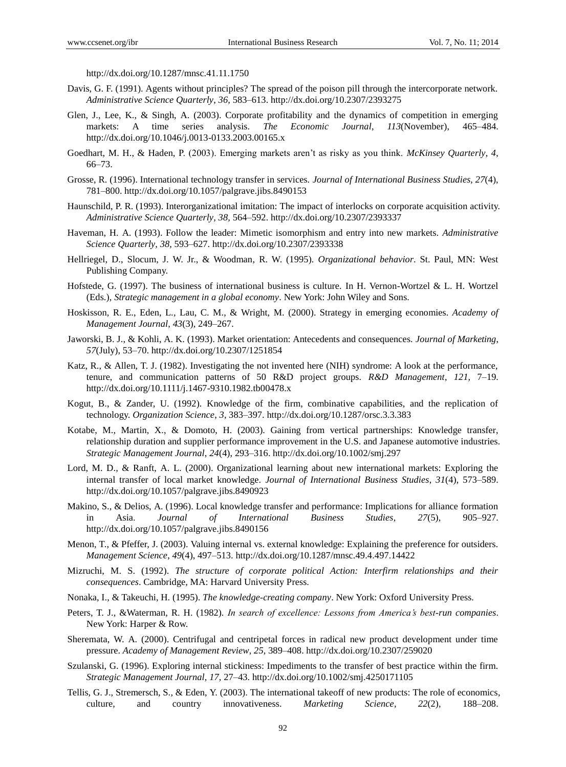http://dx.doi.org/10.1287/mnsc.41.11.1750

- Davis, G. F. (1991). Agents without principles? The spread of the poison pill through the intercorporate network. *Administrative Science Quarterly*, *36,* 583–613. http://dx.doi.org/10.2307/2393275
- Glen, J., Lee, K., & Singh, A. (2003). Corporate profitability and the dynamics of competition in emerging markets: A time series analysis. *The Economic Journal*, *113*(November), 465–484. http://dx.doi.org/10.1046/j.0013-0133.2003.00165.x
- Goedhart, M. H., & Haden, P. (2003). Emerging markets aren't as risky as you think. *McKinsey Quarterly*, *4*, 66–73.
- Grosse, R. (1996). International technology transfer in services. *Journal of International Business Studies, 27*(4), 781–800. http://dx.doi.org/10.1057/palgrave.jibs.8490153
- Haunschild, P. R. (1993). Interorganizational imitation: The impact of interlocks on corporate acquisition activity. *Administrative Science Quarterly, 38,* 564–592. http://dx.doi.org/10.2307/2393337
- Haveman, H. A. (1993). Follow the leader: Mimetic isomorphism and entry into new markets. *Administrative Science Quarterly, 38,* 593–627. http://dx.doi.org/10.2307/2393338
- Hellriegel, D., Slocum, J. W. Jr., & Woodman, R. W. (1995). *Organizational behavior*. St. Paul, MN: West Publishing Company.
- Hofstede, G. (1997). The business of international business is culture. In H. Vernon-Wortzel & L. H. Wortzel (Eds.), *Strategic management in a global economy*. New York: John Wiley and Sons.
- Hoskisson, R. E., Eden, L., Lau, C. M., & Wright, M. (2000). Strategy in emerging economies. *Academy of Management Journal*, *43*(3), 249–267.
- Jaworski, B. J., & Kohli, A. K. (1993). Market orientation: Antecedents and consequences. *Journal of Marketing*, *57*(July), 53–70. http://dx.doi.org/10.2307/1251854
- Katz, R., & Allen, T. J. (1982). Investigating the not invented here (NIH) syndrome: A look at the performance, tenure, and communication patterns of 50 R&D project groups. *R&D Management*, *121,* 7–19. http://dx.doi.org/10.1111/j.1467-9310.1982.tb00478.x
- Kogut, B., & Zander, U. (1992). Knowledge of the firm, combinative capabilities, and the replication of technology. *Organization Science*, *3,* 383–397. http://dx.doi.org/10.1287/orsc.3.3.383
- Kotabe, M., Martin, X., & Domoto, H. (2003). Gaining from vertical partnerships: Knowledge transfer, relationship duration and supplier performance improvement in the U.S. and Japanese automotive industries. *Strategic Management Journal*, *24*(4), 293–316. http://dx.doi.org/10.1002/smj.297
- Lord, M. D., & Ranft, A. L. (2000). Organizational learning about new international markets: Exploring the internal transfer of local market knowledge. *Journal of International Business Studies*, *31*(4), 573–589. http://dx.doi.org/10.1057/palgrave.jibs.8490923
- Makino, S., & Delios, A. (1996). Local knowledge transfer and performance: Implications for alliance formation in Asia. *Journal of International Business Studies*, *27*(5), 905–927. http://dx.doi.org/10.1057/palgrave.jibs.8490156
- Menon, T., & Pfeffer, J. (2003). Valuing internal vs. external knowledge: Explaining the preference for outsiders. *Management Science*, *49*(4), 497–513. http://dx.doi.org/10.1287/mnsc.49.4.497.14422
- Mizruchi, M. S. (1992). *The structure of corporate political Action: Interfirm relationships and their consequences*. Cambridge, MA: Harvard University Press.
- Nonaka, I., & Takeuchi, H. (1995). *The knowledge-creating company*. New York: Oxford University Press.
- Peters, T. J., &Waterman, R. H. (1982). *In search of excellence: Lessons from America's best-run companies*. New York: Harper & Row.
- Sheremata, W. A. (2000). Centrifugal and centripetal forces in radical new product development under time pressure. *Academy of Management Review*, *25,* 389–408. http://dx.doi.org/10.2307/259020
- Szulanski, G. (1996). Exploring internal stickiness: Impediments to the transfer of best practice within the firm. *Strategic Management Journal, 17,* 27–43. http://dx.doi.org/10.1002/smj.4250171105
- Tellis, G. J., Stremersch, S., & Eden, Y. (2003). The international takeoff of new products: The role of economics, culture, and country innovativeness. *Marketing Science, 22*(2), 188–208.